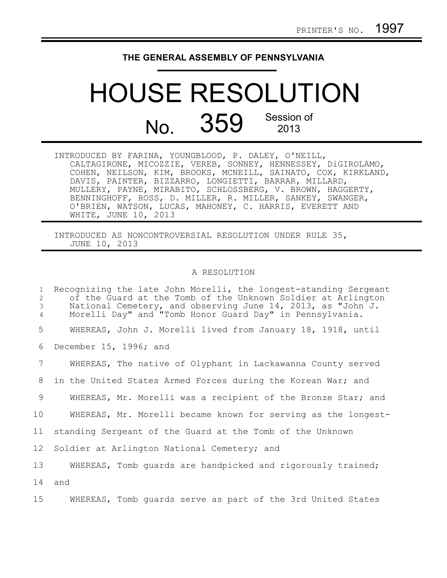## **THE GENERAL ASSEMBLY OF PENNSYLVANIA**

## HOUSE RESOLUTION No. 359 Session of 2013

INTRODUCED BY FARINA, YOUNGBLOOD, P. DALEY, O'NEILL, CALTAGIRONE, MICOZZIE, VEREB, SONNEY, HENNESSEY, DiGIROLAMO, COHEN, NEILSON, KIM, BROOKS, MCNEILL, SAINATO, COX, KIRKLAND, DAVIS, PAINTER, BIZZARRO, LONGIETTI, BARRAR, MILLARD, MULLERY, PAYNE, MIRABITO, SCHLOSSBERG, V. BROWN, HAGGERTY, BENNINGHOFF, ROSS, D. MILLER, R. MILLER, SANKEY, SWANGER, O'BRIEN, WATSON, LUCAS, MAHONEY, C. HARRIS, EVERETT AND WHITE, JUNE 10, 2013

INTRODUCED AS NONCONTROVERSIAL RESOLUTION UNDER RULE 35, JUNE 10, 2013

## A RESOLUTION

| 1<br>2<br>3<br>4 | Recognizing the late John Morelli, the longest-standing Sergeant<br>of the Guard at the Tomb of the Unknown Soldier at Arlington<br>National Cemetery, and observing June 14, 2013, as "John J.<br>Morelli Day" and "Tomb Honor Guard Day" in Pennsylvania. |
|------------------|-------------------------------------------------------------------------------------------------------------------------------------------------------------------------------------------------------------------------------------------------------------|
| 5                | WHEREAS, John J. Morelli lived from January 18, 1918, until                                                                                                                                                                                                 |
| 6                | December 15, 1996; and                                                                                                                                                                                                                                      |
| 7                | WHEREAS, The native of Olyphant in Lackawanna County served                                                                                                                                                                                                 |
| 8                | in the United States Armed Forces during the Korean War; and                                                                                                                                                                                                |
| 9                | WHEREAS, Mr. Morelli was a recipient of the Bronze Star; and                                                                                                                                                                                                |
| 10               | WHEREAS, Mr. Morelli became known for serving as the longest-                                                                                                                                                                                               |
| 11               | standing Sergeant of the Guard at the Tomb of the Unknown                                                                                                                                                                                                   |
| 12               | Soldier at Arlington National Cemetery; and                                                                                                                                                                                                                 |
| 13               | WHEREAS, Tomb quards are handpicked and rigorously trained;                                                                                                                                                                                                 |
| 14               | and                                                                                                                                                                                                                                                         |
| 15 <sub>1</sub>  | WHEREAS, Tomb quards serve as part of the 3rd United States                                                                                                                                                                                                 |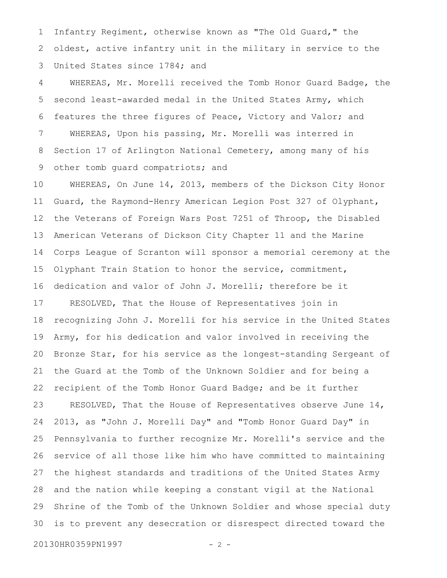Infantry Regiment, otherwise known as "The Old Guard," the oldest, active infantry unit in the military in service to the United States since 1784; and 1 2 3

WHEREAS, Mr. Morelli received the Tomb Honor Guard Badge, the second least-awarded medal in the United States Army, which features the three figures of Peace, Victory and Valor; and WHEREAS, Upon his passing, Mr. Morelli was interred in Section 17 of Arlington National Cemetery, among many of his other tomb guard compatriots; and 4 5 6 7 8 9

WHEREAS, On June 14, 2013, members of the Dickson City Honor Guard, the Raymond-Henry American Legion Post 327 of Olyphant, the Veterans of Foreign Wars Post 7251 of Throop, the Disabled American Veterans of Dickson City Chapter 11 and the Marine Corps League of Scranton will sponsor a memorial ceremony at the Olyphant Train Station to honor the service, commitment, dedication and valor of John J. Morelli; therefore be it RESOLVED, That the House of Representatives join in recognizing John J. Morelli for his service in the United States Army, for his dedication and valor involved in receiving the Bronze Star, for his service as the longest-standing Sergeant of the Guard at the Tomb of the Unknown Soldier and for being a recipient of the Tomb Honor Guard Badge; and be it further RESOLVED, That the House of Representatives observe June 14, 2013, as "John J. Morelli Day" and "Tomb Honor Guard Day" in Pennsylvania to further recognize Mr. Morelli's service and the service of all those like him who have committed to maintaining the highest standards and traditions of the United States Army and the nation while keeping a constant vigil at the National Shrine of the Tomb of the Unknown Soldier and whose special duty is to prevent any desecration or disrespect directed toward the 10 11 12 13 14 15 16 17 18 19 20 21 22 23 24 25 26 27 28 29 30

20130HR0359PN1997 - 2 -